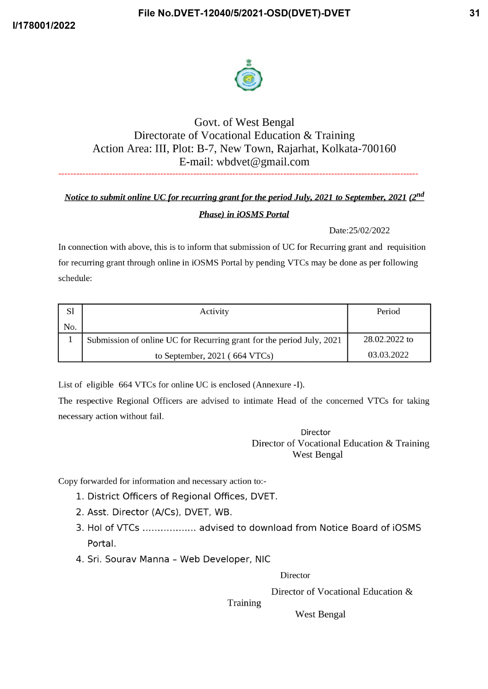



## Govt. of West Bengal Directorate of Vocational Education & Training Action Area: III, Plot: B-7, New Town, Rajarhat, Kolkata-700160 E-mail: wbdvet@gmail.com

## Notice to submit online UC for recurring grant for the period July, 2021 to September, 2021 (2nd **Phase) in iOSMS Portal**

## Date:25/02/2022

In connection with above, this is to inform that submission of UC for Recurring grant and requisition for recurring grant through online in iOSMS Portal by pending VTCs may be done as per following schedule:

| <sub>Sl</sub> | Activity                                                              | Period        |
|---------------|-----------------------------------------------------------------------|---------------|
| No.           |                                                                       |               |
|               | Submission of online UC for Recurring grant for the period July, 2021 | 28.02.2022 to |
|               | to September, $2021$ (664 VTCs)                                       | 03.03.2022    |

List of eligible 664 VTCs for online UC is enclosed (Annexure -I).

The respective Regional Officers are advised to intimate Head of the concerned VTCs for taking necessary action without fail.

> **Director** Director of Vocational Education & Training **West Bengal**

Copy forwarded for information and necessary action to:-

- 1. District Officers of Regional Offices, DVET.
- 2. Asst. Director (A/Cs), DVET, WB.
- 3. Hol of VTCs ................... advised to download from Notice Board of iOSMS Portal.
- 4. Sri. Sourav Manna Web Developer, NIC

**Director** 

Director of Vocational Education &

Training

**West Bengal**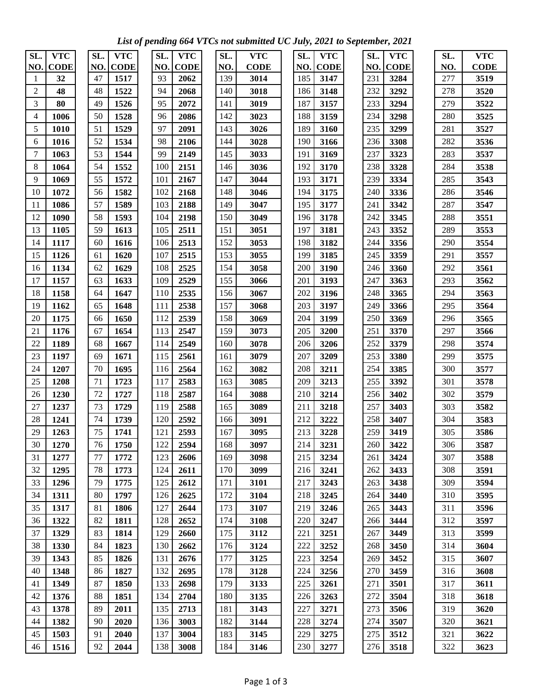*List of pending 664 VTCs not submitted UC July, 2021 to September, 2021* 

| SL.    | <b>VTC</b>  | SL. | <b>VTC</b>  | SL. | <b>VTC</b>  | SL. | <b>VTC</b>  | SL. | <b>VTC</b>  | SL. | <b>VTC</b>  | SL. | <b>VTC</b>  |
|--------|-------------|-----|-------------|-----|-------------|-----|-------------|-----|-------------|-----|-------------|-----|-------------|
| NO.    | <b>CODE</b> | NO. | <b>CODE</b> | NO. | <b>CODE</b> | NO. | <b>CODE</b> | NO. | <b>CODE</b> | NO. | <b>CODE</b> | NO. | <b>CODE</b> |
| 1      | 32          | 47  | 1517        | 93  | 2062        | 139 | 3014        | 185 | 3147        | 231 | 3284        | 277 | 3519        |
| 2      | 48          | 48  | 1522        | 94  | 2068        | 140 | 3018        | 186 | 3148        | 232 | 3292        | 278 | 3520        |
| 3      | 80          | 49  | 1526        | 95  | 2072        | 141 | 3019        | 187 | 3157        | 233 | 3294        | 279 | 3522        |
| 4      | 1006        | 50  | 1528        | 96  | 2086        | 142 | 3023        | 188 | 3159        | 234 | 3298        | 280 | 3525        |
| 5      | 1010        | 51  | 1529        | 97  | 2091        | 143 | 3026        | 189 | 3160        | 235 | 3299        | 281 | 3527        |
| 6      | 1016        | 52  | 1534        | 98  | 2106        | 144 | 3028        | 190 | 3166        | 236 | 3308        | 282 | 3536        |
| $\tau$ | 1063        | 53  | 1544        | 99  | 2149        | 145 | 3033        | 191 | 3169        | 237 | 3323        | 283 | 3537        |
| $8\,$  | 1064        | 54  | 1552        | 100 | 2151        | 146 | 3036        | 192 | 3170        | 238 | 3328        | 284 | 3538        |
| 9      | 1069        | 55  | 1572        | 101 | 2167        | 147 | 3044        | 193 | 3171        | 239 | 3334        | 285 | 3543        |
| 10     | 1072        | 56  | 1582        | 102 | 2168        | 148 | 3046        | 194 | 3175        | 240 | 3336        | 286 | 3546        |
| 11     | 1086        | 57  | 1589        | 103 | 2188        | 149 | 3047        | 195 | 3177        | 241 | 3342        | 287 | 3547        |
| 12     | 1090        | 58  | 1593        | 104 | 2198        | 150 | 3049        | 196 | 3178        | 242 | 3345        | 288 | 3551        |
| 13     | 1105        | 59  | 1613        | 105 | 2511        | 151 | 3051        | 197 | 3181        | 243 | 3352        | 289 | 3553        |
| 14     | 1117        | 60  | 1616        | 106 | 2513        | 152 | 3053        | 198 | 3182        | 244 | 3356        | 290 | 3554        |
| 15     | 1126        | 61  | 1620        | 107 | 2515        | 153 | 3055        | 199 | 3185        | 245 | 3359        | 291 | 3557        |
| 16     | 1134        | 62  | 1629        | 108 | 2525        | 154 | 3058        | 200 | 3190        | 246 | 3360        | 292 | 3561        |
| 17     | 1157        | 63  | 1633        | 109 | 2529        | 155 | 3066        | 201 | 3193        | 247 | 3363        | 293 | 3562        |
| 18     | 1158        | 64  | 1647        | 110 | 2535        | 156 | 3067        | 202 | 3196        | 248 | 3365        | 294 | 3563        |
| 19     | 1162        | 65  | 1648        | 111 | 2538        | 157 | 3068        | 203 | 3197        | 249 | 3366        | 295 | 3564        |
| 20     | 1175        | 66  | 1650        | 112 | 2539        | 158 | 3069        | 204 | 3199        | 250 | 3369        | 296 | 3565        |
| 21     | 1176        | 67  | 1654        | 113 | 2547        | 159 | 3073        | 205 | 3200        | 251 | 3370        | 297 | 3566        |
| 22     | 1189        | 68  | 1667        | 114 | 2549        | 160 | 3078        | 206 | 3206        | 252 | 3379        | 298 | 3574        |
| 23     | 1197        | 69  | 1671        | 115 | 2561        | 161 | 3079        | 207 | 3209        | 253 | 3380        | 299 | 3575        |
| 24     | 1207        | 70  | 1695        | 116 | 2564        | 162 | 3082        | 208 | 3211        | 254 | 3385        | 300 | 3577        |
| 25     | 1208        | 71  | 1723        | 117 | 2583        | 163 | 3085        | 209 | 3213        | 255 | 3392        | 301 | 3578        |
| 26     | 1230        | 72  | 1727        | 118 | 2587        | 164 | 3088        | 210 | 3214        | 256 | 3402        | 302 | 3579        |
| 27     | 1237        | 73  | 1729        | 119 | 2588        | 165 | 3089        | 211 | 3218        | 257 | 3403        | 303 | 3582        |
| 28     | 1241        | 74  | 1739        | 120 | 2592        | 166 | 3091        | 212 | 3222        | 258 | 3407        | 304 | 3583        |
| 29     | 1263        | 75  | 1741        | 121 | 2593        | 167 | 3095        | 213 | 3228        | 259 | 3419        | 305 | 3586        |
| 30     | 1270        | 76  | 1750        | 122 | 2594        | 168 | 3097        | 214 | 3231        | 260 | 3422        | 306 | 3587        |
| 31     | 1277        | 77  | 1772        | 123 | 2606        | 169 | 3098        | 215 | 3234        | 261 | 3424        | 307 | 3588        |
| 32     | 1295        | 78  | 1773        | 124 | 2611        | 170 | 3099        | 216 | 3241        | 262 | 3433        | 308 | 3591        |
| 33     | 1296        | 79  | 1775        | 125 | 2612        | 171 | 3101        | 217 | 3243        | 263 | 3438        | 309 | 3594        |
| 34     | 1311        | 80  | 1797        | 126 | 2625        | 172 | 3104        | 218 | 3245        | 264 | 3440        | 310 | 3595        |
| 35     | 1317        | 81  | 1806        | 127 | 2644        | 173 | 3107        | 219 | 3246        | 265 | 3443        | 311 | 3596        |
| 36     | 1322        | 82  | 1811        | 128 | 2652        | 174 | 3108        | 220 | 3247        | 266 | 3444        | 312 | 3597        |
| 37     | 1329        | 83  | 1814        | 129 | 2660        | 175 | 3112        | 221 | 3251        | 267 | 3449        | 313 | 3599        |
| 38     | 1330        | 84  | 1823        | 130 | 2662        | 176 | 3124        | 222 | 3252        | 268 | 3450        | 314 | 3604        |
| 39     | 1343        | 85  | 1826        | 131 | 2676        | 177 | 3125        | 223 | 3254        | 269 | 3452        | 315 | 3607        |
| 40     | 1348        | 86  | 1827        | 132 | 2695        | 178 | 3128        | 224 | 3256        | 270 | 3459        | 316 | 3608        |
| 41     | 1349        | 87  | 1850        | 133 | 2698        | 179 | 3133        | 225 | 3261        | 271 | 3501        | 317 | 3611        |
| 42     | 1376        | 88  | 1851        | 134 | 2704        | 180 | 3135        | 226 | 3263        | 272 | 3504        | 318 | 3618        |
| 43     | 1378        | 89  | 2011        | 135 | 2713        | 181 | 3143        | 227 | 3271        | 273 | 3506        | 319 | 3620        |
| 44     | 1382        | 90  | 2020        | 136 | 3003        | 182 | 3144        | 228 | 3274        | 274 | 3507        | 320 | 3621        |
| 45     | 1503        | 91  | 2040        | 137 | 3004        | 183 | 3145        | 229 | 3275        | 275 | 3512        | 321 | 3622        |
| 46     | 1516        | 92  | 2044        | 138 | 3008        | 184 | 3146        | 230 | 3277        | 276 | 3518        | 322 | 3623        |
|        |             |     |             |     |             |     |             |     |             |     |             |     |             |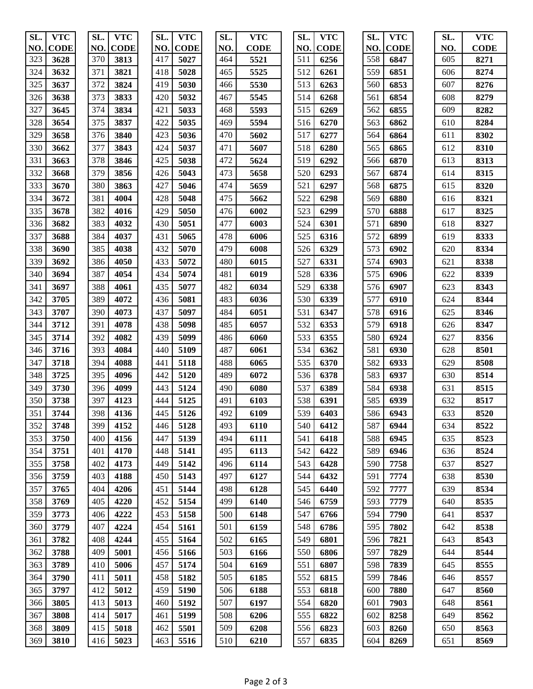| SL. | <b>VTC</b>  | SL. | <b>VTC</b>  | SL. | <b>VTC</b>  | SL. | <b>VTC</b>  | SL. | <b>VTC</b>  | SL. | <b>VTC</b>  | SL. | <b>VTC</b>  |
|-----|-------------|-----|-------------|-----|-------------|-----|-------------|-----|-------------|-----|-------------|-----|-------------|
| NO. | <b>CODE</b> | NO. | <b>CODE</b> | NO. | <b>CODE</b> | NO. | <b>CODE</b> | NO. | <b>CODE</b> | NO. | <b>CODE</b> | NO. | <b>CODE</b> |
| 323 | 3628        | 370 | 3813        | 417 | 5027        | 464 | 5521        | 511 | 6256        | 558 | 6847        | 605 | 8271        |
| 324 | 3632        | 371 | 3821        | 418 | 5028        | 465 | 5525        | 512 | 6261        | 559 | 6851        | 606 | 8274        |
| 325 | 3637        | 372 | 3824        | 419 | 5030        | 466 | 5530        | 513 | 6263        | 560 | 6853        | 607 | 8276        |
| 326 | 3638        | 373 | 3833        | 420 | 5032        | 467 | 5545        | 514 | 6268        | 561 | 6854        | 608 | 8279        |
| 327 | 3645        | 374 | 3834        | 421 | 5033        | 468 | 5593        | 515 | 6269        | 562 | 6855        | 609 | 8282        |
| 328 | 3654        | 375 | 3837        | 422 | 5035        | 469 | 5594        | 516 | 6270        | 563 | 6862        | 610 | 8284        |
| 329 | 3658        | 376 | 3840        | 423 | 5036        | 470 | 5602        | 517 | 6277        | 564 | 6864        | 611 | 8302        |
| 330 | 3662        | 377 | 3843        | 424 | 5037        | 471 | 5607        | 518 | 6280        | 565 | 6865        | 612 | 8310        |
| 331 | 3663        | 378 | 3846        | 425 | 5038        | 472 | 5624        | 519 | 6292        | 566 | 6870        | 613 | 8313        |
| 332 | 3668        | 379 | 3856        | 426 | 5043        | 473 | 5658        | 520 | 6293        | 567 | 6874        | 614 | 8315        |
| 333 | 3670        | 380 | 3863        | 427 | 5046        | 474 | 5659        | 521 | 6297        | 568 | 6875        | 615 | 8320        |
| 334 | 3672        | 381 | 4004        | 428 | 5048        | 475 | 5662        | 522 | 6298        | 569 | 6880        | 616 | 8321        |
| 335 | 3678        | 382 | 4016        | 429 | 5050        | 476 | 6002        | 523 | 6299        | 570 | 6888        | 617 | 8325        |
| 336 | 3682        | 383 | 4032        | 430 | 5051        | 477 | 6003        | 524 | 6301        | 571 | 6890        | 618 | 8327        |
| 337 | 3688        | 384 | 4037        | 431 | 5065        | 478 | 6006        | 525 | 6316        | 572 | 6899        | 619 | 8333        |
| 338 | 3690        | 385 | 4038        | 432 | 5070        | 479 | 6008        | 526 | 6329        | 573 | 6902        | 620 | 8334        |
| 339 | 3692        | 386 | 4050        | 433 | 5072        | 480 | 6015        | 527 | 6331        | 574 | 6903        | 621 | 8338        |
| 340 | 3694        | 387 | 4054        | 434 | 5074        | 481 | 6019        | 528 | 6336        | 575 | 6906        | 622 | 8339        |
| 341 | 3697        | 388 | 4061        | 435 | 5077        | 482 | 6034        | 529 | 6338        | 576 | 6907        | 623 | 8343        |
| 342 | 3705        | 389 | 4072        | 436 | 5081        | 483 | 6036        | 530 | 6339        | 577 | 6910        | 624 | 8344        |
| 343 | 3707        | 390 | 4073        | 437 | 5097        | 484 | 6051        | 531 | 6347        | 578 | 6916        | 625 | 8346        |
| 344 | 3712        | 391 | 4078        | 438 | 5098        | 485 | 6057        | 532 | 6353        | 579 | 6918        | 626 | 8347        |
| 345 | 3714        | 392 | 4082        | 439 | 5099        | 486 | 6060        | 533 | 6355        | 580 | 6924        | 627 | 8356        |
| 346 | 3716        | 393 | 4084        | 440 | 5109        | 487 | 6061        | 534 | 6362        | 581 | 6930        | 628 | 8501        |
| 347 | 3718        | 394 | 4088        | 441 | 5118        | 488 | 6065        | 535 | 6370        | 582 | 6933        | 629 | 8508        |
| 348 | 3725        | 395 | 4096        | 442 | 5120        | 489 | 6072        | 536 | 6378        | 583 | 6937        | 630 | 8514        |
| 349 | 3730        | 396 | 4099        | 443 | 5124        | 490 | 6080        | 537 | 6389        | 584 | 6938        | 631 | 8515        |
| 350 | 3738        | 397 | 4123        | 444 | 5125        | 491 | 6103        | 538 | 6391        | 585 | 6939        | 632 | 8517        |
| 351 | 3744        | 398 | 4136        | 445 | 5126        | 492 | 6109        | 539 | 6403        | 586 | 6943        | 633 | 8520        |
| 352 | 3748        | 399 | 4152        | 446 | 5128        | 493 | 6110        | 540 | 6412        | 587 | 6944        | 634 | 8522        |
| 353 | 3750        | 400 | 4156        | 447 | 5139        | 494 | 6111        | 541 | 6418        | 588 | 6945        | 635 | 8523        |
| 354 | 3751        | 401 | 4170        | 448 | 5141        | 495 | 6113        | 542 | 6422        | 589 | 6946        | 636 | 8524        |
| 355 | 3758        | 402 | 4173        | 449 | 5142        | 496 | 6114        | 543 | 6428        | 590 | 7758        | 637 | 8527        |
| 356 | 3759        | 403 | 4188        | 450 | 5143        | 497 | 6127        | 544 | 6432        | 591 | 7774        | 638 | 8530        |
| 357 | 3765        | 404 | 4206        | 451 | 5144        | 498 | 6128        | 545 | 6440        | 592 | 7777        | 639 | 8534        |
| 358 | 3769        | 405 | 4220        | 452 | 5154        | 499 | 6140        | 546 | 6759        | 593 | 7779        | 640 | 8535        |
| 359 | 3773        | 406 | 4222        | 453 | 5158        | 500 | 6148        | 547 | 6766        | 594 | 7790        | 641 | 8537        |
| 360 | 3779        | 407 | 4224        | 454 | 5161        | 501 | 6159        | 548 | 6786        | 595 | 7802        | 642 | 8538        |
| 361 | 3782        | 408 | 4244        | 455 | 5164        | 502 | 6165        | 549 | 6801        | 596 | 7821        | 643 | 8543        |
| 362 | 3788        | 409 | 5001        | 456 | 5166        | 503 | 6166        | 550 | 6806        | 597 | 7829        | 644 | 8544        |
| 363 | 3789        | 410 | 5006        | 457 | 5174        | 504 | 6169        | 551 | 6807        | 598 | 7839        | 645 | 8555        |
| 364 | 3790        | 411 | 5011        | 458 | 5182        | 505 | 6185        | 552 | 6815        | 599 | 7846        | 646 | 8557        |
| 365 | 3797        | 412 | 5012        | 459 | 5190        | 506 | 6188        | 553 | 6818        | 600 | 7880        | 647 | 8560        |
| 366 | 3805        | 413 | 5013        | 460 | 5192        | 507 | 6197        | 554 | 6820        | 601 | 7903        | 648 | 8561        |
| 367 | 3808        | 414 | 5017        | 461 | 5199        | 508 | 6206        | 555 | 6822        | 602 | 8258        | 649 | 8562        |
| 368 | 3809        | 415 | 5018        | 462 | 5501        | 509 | 6208        | 556 | 6823        | 603 | 8260        | 650 | 8563        |
| 369 | 3810        | 416 | 5023        | 463 | 5516        | 510 | 6210        | 557 | 6835        | 604 | 8269        | 651 | 8569        |